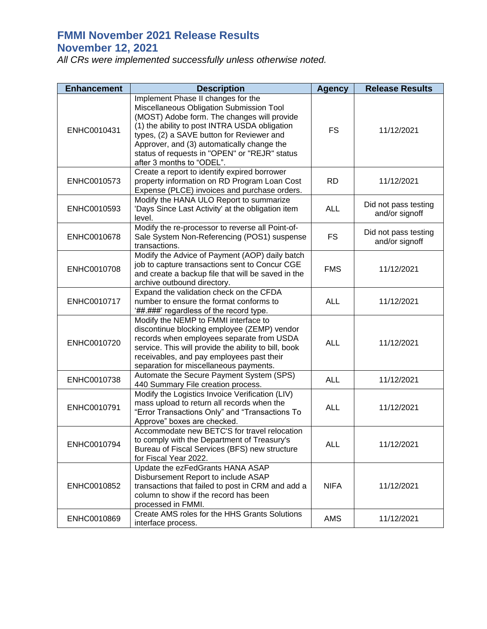## **FMMI November 2021 Release Results November 12, 2021**

*All CRs were implemented successfully unless otherwise noted.*

| <b>Enhancement</b> | <b>Description</b>                                                                                                                                                                                                                                                                                                                                      | <b>Agency</b> | <b>Release Results</b>                 |
|--------------------|---------------------------------------------------------------------------------------------------------------------------------------------------------------------------------------------------------------------------------------------------------------------------------------------------------------------------------------------------------|---------------|----------------------------------------|
| ENHC0010431        | Implement Phase II changes for the<br>Miscellaneous Obligation Submission Tool<br>(MOST) Adobe form. The changes will provide<br>(1) the ability to post INTRA USDA obligation<br>types, (2) a SAVE button for Reviewer and<br>Approver, and (3) automatically change the<br>status of requests in "OPEN" or "REJR" status<br>after 3 months to "ODEL". | <b>FS</b>     | 11/12/2021                             |
| ENHC0010573        | Create a report to identify expired borrower<br>property information on RD Program Loan Cost<br>Expense (PLCE) invoices and purchase orders.                                                                                                                                                                                                            | <b>RD</b>     | 11/12/2021                             |
| ENHC0010593        | Modify the HANA ULO Report to summarize<br>'Days Since Last Activity' at the obligation item<br>level.                                                                                                                                                                                                                                                  | <b>ALL</b>    | Did not pass testing<br>and/or signoff |
| ENHC0010678        | Modify the re-processor to reverse all Point-of-<br>Sale System Non-Referencing (POS1) suspense<br>transactions.                                                                                                                                                                                                                                        | <b>FS</b>     | Did not pass testing<br>and/or signoff |
| ENHC0010708        | Modify the Advice of Payment (AOP) daily batch<br>job to capture transactions sent to Concur CGE<br>and create a backup file that will be saved in the<br>archive outbound directory.                                                                                                                                                                   | <b>FMS</b>    | 11/12/2021                             |
| ENHC0010717        | Expand the validation check on the CFDA<br>number to ensure the format conforms to<br>'##.###' regardless of the record type.                                                                                                                                                                                                                           | <b>ALL</b>    | 11/12/2021                             |
| ENHC0010720        | Modify the NEMP to FMMI interface to<br>discontinue blocking employee (ZEMP) vendor<br>records when employees separate from USDA<br>service. This will provide the ability to bill, book<br>receivables, and pay employees past their<br>separation for miscellaneous payments.                                                                         | <b>ALL</b>    | 11/12/2021                             |
| ENHC0010738        | Automate the Secure Payment System (SPS)<br>440 Summary File creation process.                                                                                                                                                                                                                                                                          | <b>ALL</b>    | 11/12/2021                             |
| ENHC0010791        | Modify the Logistics Invoice Verification (LIV)<br>mass upload to return all records when the<br>"Error Transactions Only" and "Transactions To<br>Approve" boxes are checked.                                                                                                                                                                          | <b>ALL</b>    | 11/12/2021                             |
| ENHC0010794        | Accommodate new BETC'S for travel relocation<br>to comply with the Department of Treasury's<br>Bureau of Fiscal Services (BFS) new structure<br>for Fiscal Year 2022.                                                                                                                                                                                   | <b>ALL</b>    | 11/12/2021                             |
| ENHC0010852        | Update the ezFedGrants HANA ASAP<br>Disbursement Report to include ASAP<br>transactions that failed to post in CRM and add a<br>column to show if the record has been<br>processed in FMMI.                                                                                                                                                             | <b>NIFA</b>   | 11/12/2021                             |
| ENHC0010869        | Create AMS roles for the HHS Grants Solutions<br>interface process.                                                                                                                                                                                                                                                                                     | <b>AMS</b>    | 11/12/2021                             |